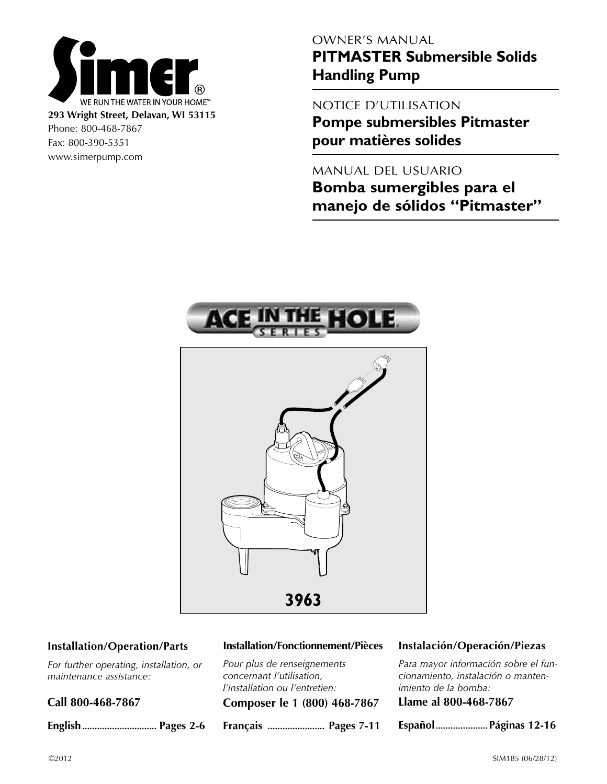

Phone: 800-468-7867 Fax: 800-390-5351 www.simerpump.com

# OWNER'S MANUAL

**PITMASTER Submersible Solids Handling Pump**

# NOTICE D'UTILISATION

**Pompe submersibles Pitmaster pour matières solides**

# MANUAL DEL USUARIO

**Bomba sumergibles para el manejo de sólidos "Pitmaster"**



## **Installation/Operation/Parts**

*For further operating, installation, or maintenance assistance:* 

**Call 800-468-7867**

**English.............................. Pages 2-6**

### **Installation/Fonctionnement/Pièces**

*Pour plus de renseignements concernant l'utilisation, l'installation ou l'entretien:*

**Composer le 1 (800) 468-7867**

**Français ....................... Pages 7-11**

### **Instalación/Operación/Piezas**

*Para mayor información sobre el funcionamiento, instalación o mantenimiento de la bomba:*

|  |  | Llame al 800-468-7867 |
|--|--|-----------------------|
|--|--|-----------------------|

**Español.....................Páginas 12-16**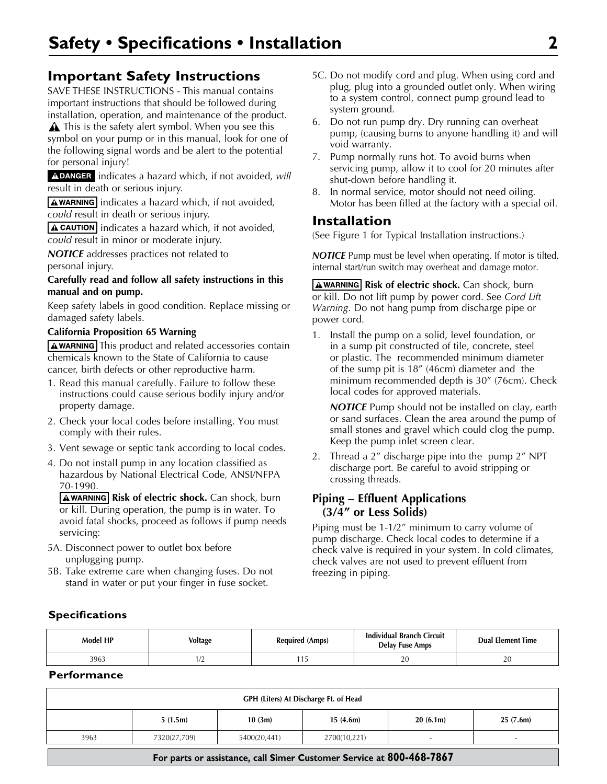# **Important Safety Instructions**

SAVE THESE INSTRUCTIONS - This manual contains important instructions that should be followed during installation, operation, and maintenance of the product.

A This is the safety alert symbol. When you see this symbol on your pump or in this manual, look for one of the following signal words and be alert to the potential for personal injury!

ADANGER indicates a hazard which, if not avoided, will result in death or serious injury.

 $\sqrt{\text{A}$  WARNING indicates a hazard which, if not avoided, *could* result in death or serious injury.

**A CAUTION** indicates a hazard which, if not avoided, *could* result in minor or moderate injury.

*NOTICE* addresses practices not related to personal injury.

### **Carefully read and follow all safety instructions in this manual and on pump.**

Keep safety labels in good condition. Replace missing or damaged safety labels.

## **California Proposition 65 Warning**

A WARNING This product and related accessories contain chemicals known to the State of California to cause cancer, birth defects or other reproductive harm.

- 1. Read this manual carefully. Failure to follow these instructions could cause serious bodily injury and/or property damage.
- 2. Check your local codes before installing. You must comply with their rules.
- 3. Vent sewage or septic tank according to local codes.
- 4. Do not install pump in any location classified as hazardous by National Electrical Code, ANSI/NFPA 70-1990.

**AWARNING Risk of electric shock.** Can shock, burn or kill. During operation, the pump is in water. To avoid fatal shocks, proceed as follows if pump needs servicing:

- 5A. Disconnect power to outlet box before unplugging pump.
- 5B. Take extreme care when changing fuses. Do not stand in water or put your finger in fuse socket.
- 5C. Do not modify cord and plug. When using cord and plug, plug into a grounded outlet only. When wiring to a system control, connect pump ground lead to system ground.
- 6. Do not run pump dry. Dry running can overheat pump, (causing burns to anyone handling it) and will void warranty.
- 7. Pump normally runs hot. To avoid burns when servicing pump, allow it to cool for 20 minutes after shut-down before handling it.
- 8. In normal service, motor should not need oiling. Motor has been filled at the factory with a special oil.

# **Installation**

(See Figure 1 for Typical Installation instructions.)

*NOTICE* Pump must be level when operating. If motor is tilted, internal start/run switch may overheat and damage motor.

**AWARNING Risk of electric shock.** Can shock, burn or kill. Do not lift pump by power cord. See *Cord Lift Warning*. Do not hang pump from discharge pipe or power cord.

1. Install the pump on a solid, level foundation, or in a sump pit constructed of tile, concrete, steel or plastic. The recommended minimum diameter of the sump pit is 18" (46cm) diameter and the minimum recommended depth is 30" (76cm). Check local codes for approved materials.

*NOTICE* Pump should not be installed on clay, earth or sand surfaces. Clean the area around the pump of small stones and gravel which could clog the pump. Keep the pump inlet screen clear.

2. Thread a 2" discharge pipe into the pump 2" NPT discharge port. Be careful to avoid stripping or crossing threads.

# **Piping – Effluent Applications (3/4" or Less Solids)**

Piping must be 1-1/2" minimum to carry volume of pump discharge. Check local codes to determine if a check valve is required in your system. In cold climates, check valves are not used to prevent effluent from freezing in piping.

# **Specifications**

| Model HP | <b>Voltage</b>             | <b>Required (Amps)</b> | <b>Individual Branch Circuit</b><br>Delay Fuse Amps | <b>Dual Element Time</b> |
|----------|----------------------------|------------------------|-----------------------------------------------------|--------------------------|
| 3963     | $\sqrt{ }$<br>. <i>. .</i> |                        | 20                                                  | ΖU                       |

# **Performance**

| GPH (Liters) At Discharge Ft. of Head                                |              |              |              |          |          |
|----------------------------------------------------------------------|--------------|--------------|--------------|----------|----------|
|                                                                      | 5(1.5m)      | 10(3m)       | 15(4.6m)     | 20(6.1m) | 25(7.6m) |
| 3963                                                                 | 7320(27,709) | 5400(20,441) | 2700(10,221) |          | $\sim$   |
| For parts or assistance, call Simer Customer Service at 800-468-7867 |              |              |              |          |          |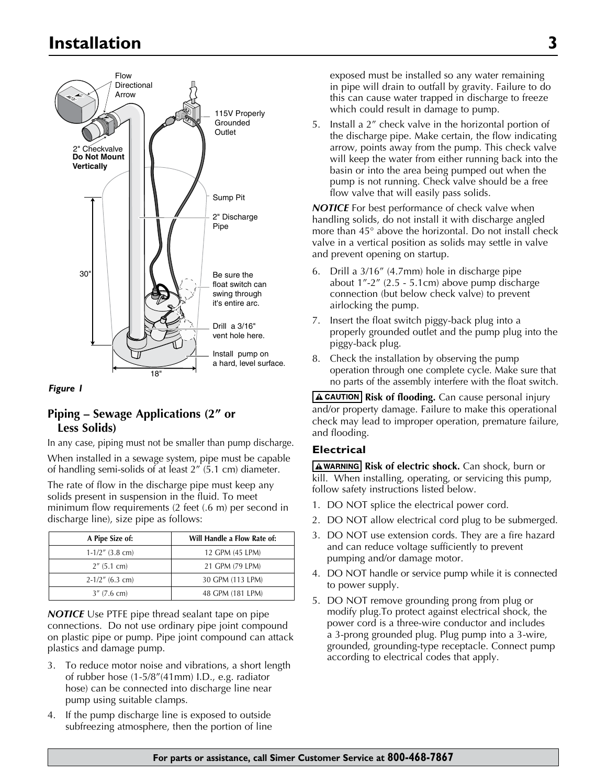# **Installation 3**



#### *Figure 1*

# **Piping – Sewage Applications (2" or Less Solids)**

In any case, piping must not be smaller than pump discharge. When installed in a sewage system, pipe must be capable of handling semi-solids of at least 2" (5.1 cm) diameter.

The rate of flow in the discharge pipe must keep any solids present in suspension in the fluid. To meet minimum flow requirements (2 feet (.6 m) per second in discharge line), size pipe as follows:

| A Pipe Size of:    | Will Handle a Flow Rate of: |
|--------------------|-----------------------------|
| $1-1/2$ " (3.8 cm) | 12 GPM (45 LPM)             |
| $2''$ (5.1 cm)     | 21 GPM (79 LPM)             |
| $2-1/2$ " (6.3 cm) | 30 GPM (113 LPM)            |
| $3''$ (7.6 cm)     | 48 GPM (181 LPM)            |

**NOTICE** Use PTFE pipe thread sealant tape on pipe connections. Do not use ordinary pipe joint compound on plastic pipe or pump. Pipe joint compound can attack plastics and damage pump.

- 3. To reduce motor noise and vibrations, a short length of rubber hose (1-5/8"(41mm) I.D., e.g. radiator hose) can be connected into discharge line near pump using suitable clamps.
- 4. If the pump discharge line is exposed to outside subfreezing atmosphere, then the portion of line

exposed must be installed so any water remaining in pipe will drain to outfall by gravity. Failure to do this can cause water trapped in discharge to freeze which could result in damage to pump.

5. Install a 2" check valve in the horizontal portion of the discharge pipe. Make certain, the flow indicating arrow, points away from the pump. This check valve will keep the water from either running back into the basin or into the area being pumped out when the pump is not running. Check valve should be a free flow valve that will easily pass solids.

**NOTICE** For best performance of check valve when handling solids, do not install it with discharge angled more than 45° above the horizontal. Do not install check valve in a vertical position as solids may settle in valve and prevent opening on startup.

- 6. Drill a 3/16" (4.7mm) hole in discharge pipe about 1"-2" (2.5 - 5.1cm) above pump discharge connection (but below check valve) to prevent airlocking the pump.
- 7. Insert the float switch piggy-back plug into a properly grounded outlet and the pump plug into the piggy-back plug.
- 8. Check the installation by observing the pump operation through one complete cycle. Make sure that no parts of the assembly interfere with the float switch.

**A CAUTION** Risk of flooding. Can cause personal injury and/or property damage. Failure to make this operational check may lead to improper operation, premature failure, and flooding.

#### **Electrical**

**AWARNING Risk of electric shock.** Can shock, burn or kill. When installing, operating, or servicing this pump, follow safety instructions listed below.

- 1. DO NOT splice the electrical power cord.
- 2. DO NOT allow electrical cord plug to be submerged.
- 3. DO NOT use extension cords. They are a fire hazard and can reduce voltage sufficiently to prevent pumping and/or damage motor.
- 4. DO NOT handle or service pump while it is connected to power supply.
- 5. DO NOT remove grounding prong from plug or modify plug.To protect against electrical shock, the power cord is a three-wire conductor and includes a 3-prong grounded plug. Plug pump into a 3-wire, grounded, grounding-type receptacle. Connect pump according to electrical codes that apply.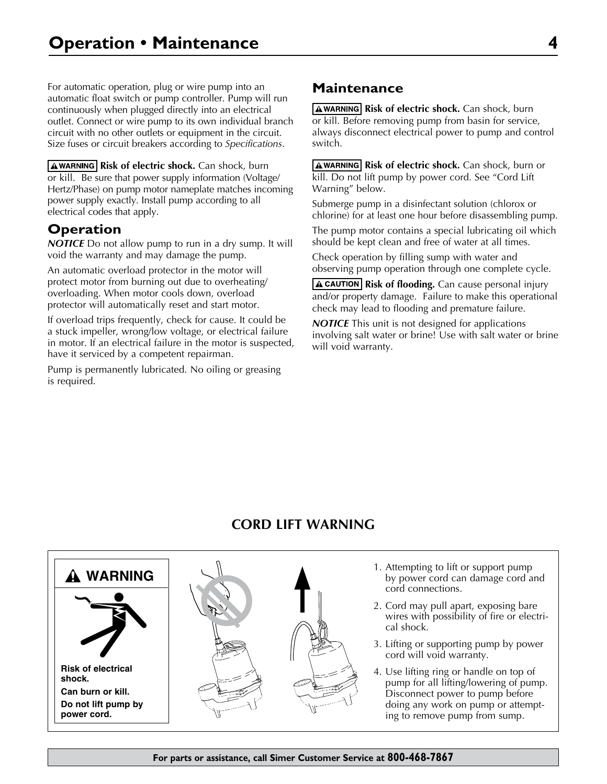For automatic operation, plug or wire pump into an automatic float switch or pump controller. Pump will run continuously when plugged directly into an electrical outlet. Connect or wire pump to its own individual branch circuit with no other outlets or equipment in the circuit. Size fuses or circuit breakers according to *Specifications*.

**A WARNING Risk of electric shock.** Can shock, burn or kill. Be sure that power supply information (Voltage/ Hertz/Phase) on pump motor nameplate matches incoming power supply exactly. Install pump according to all electrical codes that apply.

# **Operation**

*NOTICE* Do not allow pump to run in a dry sump. It will void the warranty and may damage the pump.

An automatic overload protector in the motor will protect motor from burning out due to overheating/ overloading. When motor cools down, overload protector will automatically reset and start motor.

If overload trips frequently, check for cause. It could be a stuck impeller, wrong/low voltage, or electrical failure in motor. If an electrical failure in the motor is suspected, have it serviced by a competent repairman.

Pump is permanently lubricated. No oiling or greasing is required.

# **Maintenance**

**AWARNING Risk of electric shock.** Can shock, burn or kill. Before removing pump from basin for service, always disconnect electrical power to pump and control switch.

**AWARNING Risk of electric shock.** Can shock, burn or kill. Do not lift pump by power cord. See "Cord Lift Warning" below.

Submerge pump in a disinfectant solution (chlorox or chlorine) for at least one hour before disassembling pump.

The pump motor contains a special lubricating oil which should be kept clean and free of water at all times.

Check operation by filling sump with water and observing pump operation through one complete cycle.

**A CAUTION** Risk of flooding. Can cause personal injury and/or property damage. Failure to make this operational check may lead to flooding and premature failure.

*NOTICE* This unit is not designed for applications involving salt water or brine! Use with salt water or brine will void warranty.

# **CORD LIFT WARNING**

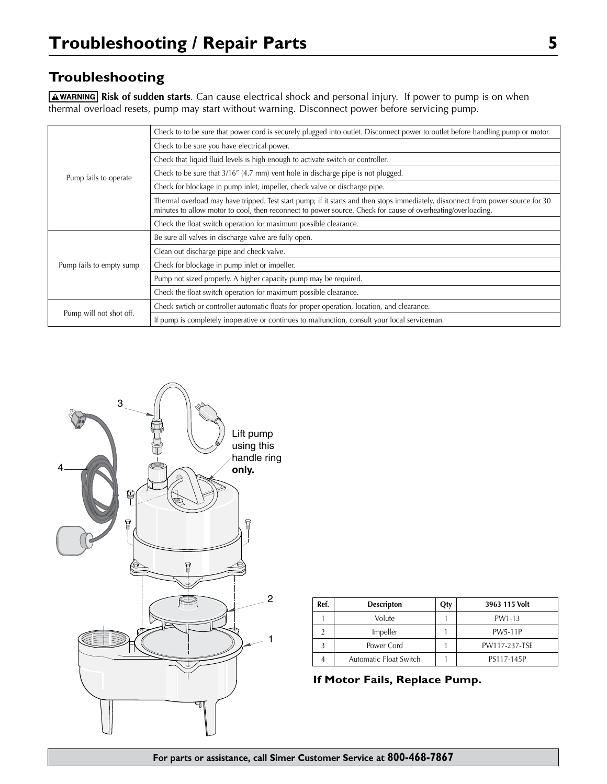# **Troubleshooting**

**AWARNING** Risk of sudden starts. Can cause electrical shock and personal injury. If power to pump is on when thermal overload resets, pump may start without warning. Disconnect power before servicing pump.

|                          | Check to to be sure that power cord is securely plugged into outlet. Disconnect power to outlet before handling pump or motor.                                                                                                                  |  |
|--------------------------|-------------------------------------------------------------------------------------------------------------------------------------------------------------------------------------------------------------------------------------------------|--|
|                          | Check to be sure you have electrical power.                                                                                                                                                                                                     |  |
|                          | Check that liquid fluid levels is high enough to activate switch or controller.                                                                                                                                                                 |  |
| Pump fails to operate    | Check to be sure that 3/16" (4.7 mm) vent hole in discharge pipe is not plugged.                                                                                                                                                                |  |
|                          | Check for blockage in pump inlet, impeller, check valve or discharge pipe.                                                                                                                                                                      |  |
|                          | Thermal overload may have tripped. Test start pump; if it starts and then stops immediately, disxonnect from power source for 30<br>minutes to allow motor to cool, then reconnect to power source. Check for cause of overheating/overloading. |  |
|                          | Check the float switch operation for maximum possible clearance.                                                                                                                                                                                |  |
|                          | Be sure all valves in discharge valve are fully open.                                                                                                                                                                                           |  |
|                          | Clean out discharge pipe and check valve.                                                                                                                                                                                                       |  |
| Pump fails to empty sump | Check for blockage in pump inlet or impeller.                                                                                                                                                                                                   |  |
|                          | Pump not sized properly. A higher capacity pump may be required.                                                                                                                                                                                |  |
|                          | Check the float switch operation for maximum possible clearance.                                                                                                                                                                                |  |
|                          | Check swtich or controller automatic floats for proper operation, location, and clearance.                                                                                                                                                      |  |
| Pump will not shot off.  | If pump is completely inoperative or continues to malfunction, consult your local serviceman.                                                                                                                                                   |  |



| Ref. | <b>Descripton</b>      | Otv | 3963 115 Volt  |
|------|------------------------|-----|----------------|
|      | Volute                 |     | PW1-13         |
|      | Impeller               |     | <b>PW5-11P</b> |
|      | Power Cord             |     | PW117-237-TSE  |
|      | Automatic Float Switch |     | PS117-145P     |

**If Motor Fails, Replace Pump.**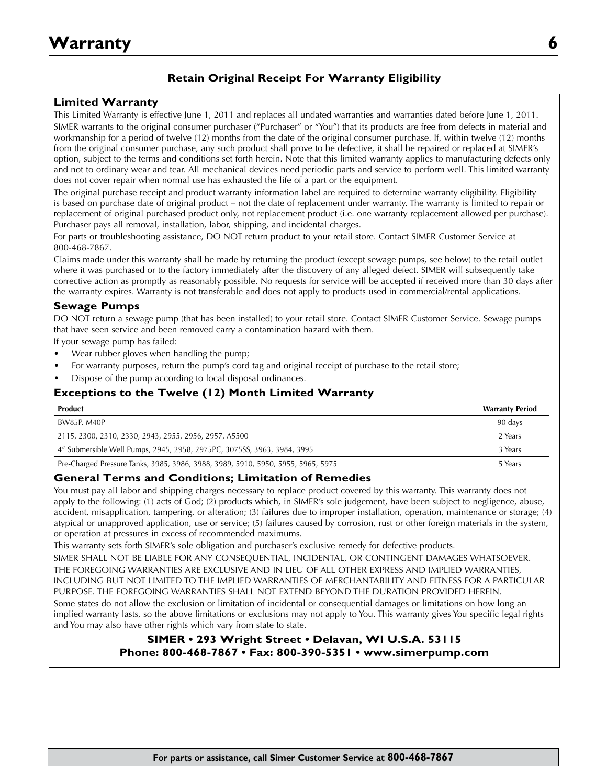# **Retain Original Receipt For Warranty Eligibility**

## **Limited Warranty**

This Limited Warranty is effective June 1, 2011 and replaces all undated warranties and warranties dated before June 1, 2011. SIMER warrants to the original consumer purchaser ("Purchaser" or "You") that its products are free from defects in material and workmanship for a period of twelve (12) months from the date of the original consumer purchase. If, within twelve (12) months from the original consumer purchase, any such product shall prove to be defective, it shall be repaired or replaced at SIMER's option, subject to the terms and conditions set forth herein. Note that this limited warranty applies to manufacturing defects only and not to ordinary wear and tear. All mechanical devices need periodic parts and service to perform well. This limited warranty does not cover repair when normal use has exhausted the life of a part or the equipment.

The original purchase receipt and product warranty information label are required to determine warranty eligibility. Eligibility is based on purchase date of original product – not the date of replacement under warranty. The warranty is limited to repair or replacement of original purchased product only, not replacement product (i.e. one warranty replacement allowed per purchase). Purchaser pays all removal, installation, labor, shipping, and incidental charges.

For parts or troubleshooting assistance, DO NOT return product to your retail store. Contact SIMER Customer Service at 800-468-7867.

Claims made under this warranty shall be made by returning the product (except sewage pumps, see below) to the retail outlet where it was purchased or to the factory immediately after the discovery of any alleged defect. SIMER will subsequently take corrective action as promptly as reasonably possible. No requests for service will be accepted if received more than 30 days after the warranty expires. Warranty is not transferable and does not apply to products used in commercial/rental applications.

### **Sewage Pumps**

DO NOT return a sewage pump (that has been installed) to your retail store. Contact SIMER Customer Service. Sewage pumps that have seen service and been removed carry a contamination hazard with them.

If your sewage pump has failed:

- Wear rubber gloves when handling the pump;
- For warranty purposes, return the pump's cord tag and original receipt of purchase to the retail store;
- Dispose of the pump according to local disposal ordinances.

## **Exceptions to the Twelve (12) Month Limited Warranty**

| <b>Product</b>                                                                   | <b>Warranty Period</b> |
|----------------------------------------------------------------------------------|------------------------|
| BW85P, M40P                                                                      | 90 days                |
| 2115, 2300, 2310, 2330, 2943, 2955, 2956, 2957, A5500                            | 2 Years                |
| 4" Submersible Well Pumps, 2945, 2958, 2975PC, 3075SS, 3963, 3984, 3995          | 3 Years                |
| Pre-Charged Pressure Tanks, 3985, 3986, 3988, 3989, 5910, 5950, 5955, 5965, 5975 | 5 Years                |

#### **General Terms and Conditions; Limitation of Remedies**

You must pay all labor and shipping charges necessary to replace product covered by this warranty. This warranty does not apply to the following: (1) acts of God; (2) products which, in SIMER's sole judgement, have been subject to negligence, abuse, accident, misapplication, tampering, or alteration; (3) failures due to improper installation, operation, maintenance or storage; (4) atypical or unapproved application, use or service; (5) failures caused by corrosion, rust or other foreign materials in the system, or operation at pressures in excess of recommended maximums.

This warranty sets forth SIMER's sole obligation and purchaser's exclusive remedy for defective products.

SIMER SHALL NOT BE LIABLE FOR ANY CONSEQUENTIAL, INCIDENTAL, OR CONTINGENT DAMAGES WHATSOEVER. THE FOREGOING WARRANTIES ARE EXCLUSIVE AND IN LIEU OF ALL OTHER EXPRESS AND IMPLIED WARRANTIES, INCLUDING BUT NOT LIMITED TO THE IMPLIED WARRANTIES OF MERCHANTABILITY AND FITNESS FOR A PARTICULAR PURPOSE. THE FOREGOING WARRANTIES SHALL NOT EXTEND BEYOND THE DURATION PROVIDED HEREIN.

Some states do not allow the exclusion or limitation of incidental or consequential damages or limitations on how long an implied warranty lasts, so the above limitations or exclusions may not apply to You. This warranty gives You specific legal rights and You may also have other rights which vary from state to state.

## **SIMER • 293 Wright Street • Delavan, WI U.S.A. 53115 Phone: 800-468-7867 • Fax: 800-390-5351 • www.simerpump.com**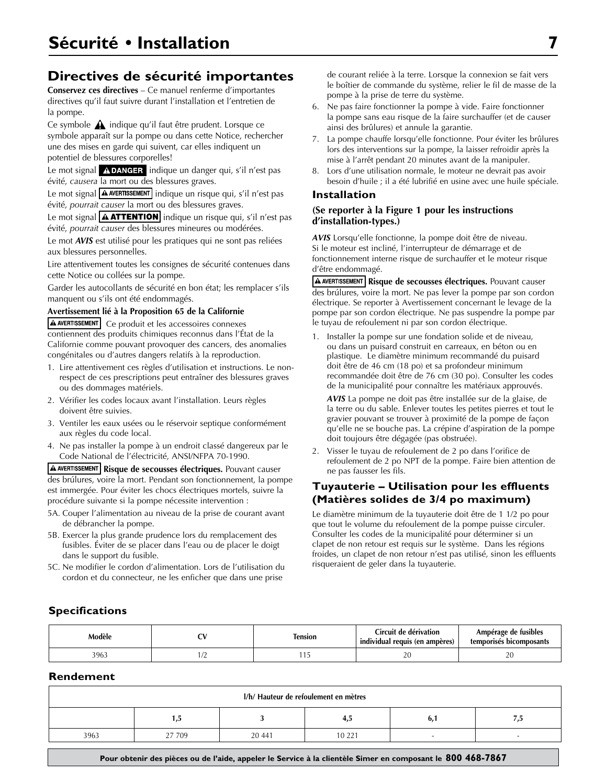# **Directives de sécurité importantes**

**Conservez ces directives** – Ce manuel renferme d'importantes directives qu'il faut suivre durant l'installation et l'entretien de la pompe.

Ce symbole  $\triangle$  indique qu'il faut être prudent. Lorsque ce symbole apparaît sur la pompe ou dans cette Notice, rechercher une des mises en garde qui suivent, car elles indiquent un potentiel de blessures corporelles!

Le mot signal **ADANGER** indique un danger qui, s'il n'est pas évité, *causera* la mort ou des blessures graves.

Le mot signal  $\boxed{\triangle}$  AVERTISSEMENT indique un risque qui, s'il n'est pas évité, *pourrait causer* la mort ou des blessures graves.

Le mot signal **AATTENTION** indique un risque qui, s'il n'est pas évité, *pourrait causer* des blessures mineures ou modérées.

Le mot *AVIS* est utilisé pour les pratiques qui ne sont pas reliées aux blessures personnelles.

Lire attentivement toutes les consignes de sécurité contenues dans cette Notice ou collées sur la pompe.

Garder les autocollants de sécurité en bon état; les remplacer s'ils manquent ou s'ils ont été endommagés.

#### **Avertissement lié à la Proposition 65 de la Californie**

A AVERTISSEMENT Ce produit et les accessoires connexes contiennent des produits chimiques reconnus dans l'État de la Californie comme pouvant provoquer des cancers, des anomalies congénitales ou d'autres dangers relatifs à la reproduction.

- 1. Lire attentivement ces règles d'utilisation et instructions. Le nonrespect de ces prescriptions peut entraîner des blessures graves ou des dommages matériels.
- 2. Vérifier les codes locaux avant l'installation. Leurs règles doivent être suivies.
- 3. Ventiler les eaux usées ou le réservoir septique conformément aux règles du code local.
- 4. Ne pas installer la pompe à un endroit classé dangereux par le Code National de l'électricité, ANSI/NFPA 70-1990.

**A AVERTISSEMENT** Risque de secousses électriques. Pouvant causer des brúlures, voire la mort. Pendant son fonctionnement, la pompe est immergée. Pour éviter les chocs électriques mortels, suivre la procédure suivante si la pompe nécessite intervention :

- 5A. Couper l'alimentation au niveau de la prise de courant avant de débrancher la pompe.
- 5B. Exercer la plus grande prudence lors du remplacement des fusibles. Éviter de se placer dans l'eau ou de placer le doigt dans le support du fusible.
- 5C. Ne modifier le cordon d'alimentation. Lors de l'utilisation du cordon et du connecteur, ne les enficher que dans une prise

de courant reliée à la terre. Lorsque la connexion se fait vers le boîtier de commande du système, relier le fil de masse de la pompe à la prise de terre du système.

- 6. Ne pas faire fonctionner la pompe à vide. Faire fonctionner la pompe sans eau risque de la faire surchauffer (et de causer ainsi des brûlures) et annule la garantie.
- 7. La pompe chauffe lorsqu'elle fonctionne. Pour éviter les brûlures lors des interventions sur la pompe, la laisser refroidir après la mise à l'arrêt pendant 20 minutes avant de la manipuler.
- 8. Lors d'une utilisation normale, le moteur ne devrait pas avoir besoin d'huile ; il a été lubrifié en usine avec une huile spéciale.

#### **Installation**

#### **(Se reporter à la Figure 1 pour les instructions d'installation-types.)**

*AVIS* Lorsqu'elle fonctionne, la pompe doit être de niveau. Si le moteur est incliné, l'interrupteur de démarrage et de fonctionnement interne risque de surchauffer et le moteur risque d'être endommagé.

**A AVERTISSEMENT** Risque de secousses électriques. Pouvant causer des brúlures, voire la mort. Ne pas lever la pompe par son cordon électrique. Se reporter à Avertissement concernant le levage de la pompe par son cordon électrique. Ne pas suspendre la pompe par le tuyau de refoulement ni par son cordon électrique.

1. Installer la pompe sur une fondation solide et de niveau, ou dans un puisard construit en carreaux, en béton ou en plastique. Le diamètre minimum recommandé du puisard doit être de 46 cm (18 po) et sa profondeur minimum recommandée doit être de 76 cm (30 po). Consulter les codes de la municipalité pour connaître les matériaux approuvés.

*AVIS* La pompe ne doit pas être installée sur de la glaise, de la terre ou du sable. Enlever toutes les petites pierres et tout le gravier pouvant se trouver à proximité de la pompe de façon qu'elle ne se bouche pas. La crépine d'aspiration de la pompe doit toujours être dégagée (pas obstruée).

2. Visser le tuyau de refoulement de 2 po dans l'orifice de refoulement de 2 po NPT de la pompe. Faire bien attention de ne pas fausser les fils.

## **Tuyauterie – Utilisation pour les effluents (Matières solides de 3/4 po maximum)**

Le diamètre minimum de la tuyauterie doit être de 1 1/2 po pour que tout le volume du refoulement de la pompe puisse circuler. Consulter les codes de la municipalité pour déterminer si un clapet de non retour est requis sur le système. Dans les régions froides, un clapet de non retour n'est pas utilisé, sinon les effluents risqueraient de geler dans la tuyauterie.

## **Specifications**

| Modèle | -- | lension | Circuit de dérivation :<br>$\cdots$<br>individual requis (en ampères) | Ampérage de fusibles<br>temporisės bicomposants |
|--------|----|---------|-----------------------------------------------------------------------|-------------------------------------------------|
| 3963   |    |         | ີ<br>∠∪                                                               | $\mathcal{L}$<br>2 U                            |

### **Rendement**

|      |      |        | I/h/ Hauteur de refoulement en mètres |    |      |
|------|------|--------|---------------------------------------|----|------|
|      | ر. ا |        | 4,5                                   | o. | ر, ر |
| 3963 | 709  | 20 441 | 10 221                                |    |      |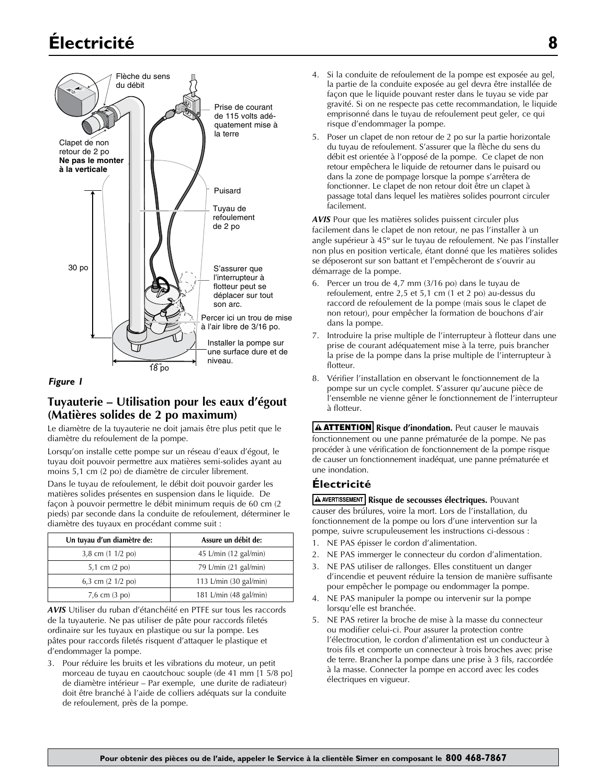# **Électricité 8** Sump Pit Installation



#### *Figure 1*

## **Tuyauterie – Utilisation pour les eaux d'égout (Matières solides de 2 po maximum)**

Le diamètre de la tuyauterie ne doit jamais être plus petit que le diamètre du refoulement de la pompe.

Lorsqu'on installe cette pompe sur un réseau d'eaux d'égout, le tuyau doit pouvoir permettre aux matières semi-solides ayant au moins 5,1 cm (2 po) de diamètre de circuler librement.

Dans le tuyau de refoulement, le débit doit pouvoir garder les matières solides présentes en suspension dans le liquide. De façon à pouvoir permettre le débit minimum requis de 60 cm (2 pieds) par seconde dans la conduite de refoulement, déterminer le diamètre des tuyaux en procédant comme suit :

| Un tuyau d'un diamètre de:          | Assure un débit de:              |
|-------------------------------------|----------------------------------|
| 3,8 cm (1 1/2 po)                   | 45 L/min (12 gal/min)            |
| 5,1 cm $(2 \text{ po})$             | 79 L/min (21 gal/min)            |
| 6,3 cm $(2 \frac{1}{2} \text{ po})$ | 113 L/min $(30 \text{ gal/min})$ |
| $7,6$ cm $(3$ po)                   | 181 L/min (48 gal/min)           |

*AVIS* Utiliser du ruban d'étanchéité en PTFE sur tous les raccords de la tuyauterie. Ne pas utiliser de pâte pour raccords filetés ordinaire sur les tuyaux en plastique ou sur la pompe. Les pâtes pour raccords filetés risquent d'attaquer le plastique et d'endommager la pompe.

3. Pour réduire les bruits et les vibrations du moteur, un petit morceau de tuyau en caoutchouc souple (de 41 mm [1 5/8 po] de diamètre intérieur – Par exemple, une durite de radiateur) doit être branché à l'aide de colliers adéquats sur la conduite de refoulement, près de la pompe.

- 4. Si la conduite de refoulement de la pompe est exposée au gel, la partie de la conduite exposée au gel devra être installée de façon que le liquide pouvant rester dans le tuyau se vide par gravité. Si on ne respecte pas cette recommandation, le liquide emprisonné dans le tuyau de refoulement peut geler, ce qui risque d'endommager la pompe.
- 5. Poser un clapet de non retour de 2 po sur la partie horizontale du tuyau de refoulement. S'assurer que la flèche du sens du débit est orientée à l'opposé de la pompe. Ce clapet de non retour empêchera le liquide de retourner dans le puisard ou dans la zone de pompage lorsque la pompe s'arrêtera de fonctionner. Le clapet de non retour doit être un clapet à passage total dans lequel les matières solides pourront circuler facilement.

*AVIS* Pour que les matières solides puissent circuler plus facilement dans le clapet de non retour, ne pas l'installer à un angle supérieur à 45º sur le tuyau de refoulement. Ne pas l'installer non plus en position verticale, étant donné que les matières solides se déposeront sur son battant et l'empêcheront de s'ouvrir au démarrage de la pompe.

- 6. Percer un trou de 4,7 mm (3/16 po) dans le tuyau de refoulement, entre 2,5 et 5,1 cm (1 et 2 po) au-dessus du raccord de refoulement de la pompe (mais sous le clapet de non retour), pour empêcher la formation de bouchons d'air dans la pompe.
- 7. Introduire la prise multiple de l'interrupteur à flotteur dans une prise de courant adéquatement mise à la terre, puis brancher la prise de la pompe dans la prise multiple de l'interrupteur à flotteur.
- 8. Vérifier l'installation en observant le fonctionnement de la pompe sur un cycle complet. S'assurer qu'aucune pièce de l'ensemble ne vienne gêner le fonctionnement de l'interrupteur à flotteur.

**A ATTENTION** Risque d'inondation. Peut causer le mauvais fonctionnement ou une panne prématurée de la pompe. Ne pas procéder à une vérification de fonctionnement de la pompe risque de causer un fonctionnement inadéquat, une panne prématurée et une inondation.

### **Électricité**

**A AVERTISSEMENT** Risque de secousses électriques. Pouvant causer des brúlures, voire la mort. Lors de l'installation, du fonctionnement de la pompe ou lors d'une intervention sur la pompe, suivre scrupuleusement les instructions ci-dessous :

- 1. NE PAS épisser le cordon d'alimentation.
- 2. NE PAS immerger le connecteur du cordon d'alimentation.
- 3. NE PAS utiliser de rallonges. Elles constituent un danger d'incendie et peuvent réduire la tension de manière suffisante pour empêcher le pompage ou endommager la pompe.
- 4. NE PAS manipuler la pompe ou intervenir sur la pompe lorsqu'elle est branchée.
- 5. NE PAS retirer la broche de mise à la masse du connecteur ou modifier celui-ci. Pour assurer la protection contre l'électrocution, le cordon d'alimentation est un conducteur à trois fils et comporte un connecteur à trois broches avec prise de terre. Brancher la pompe dans une prise à 3 fils, raccordée à la masse. Connecter la pompe en accord avec les codes électriques en vigueur.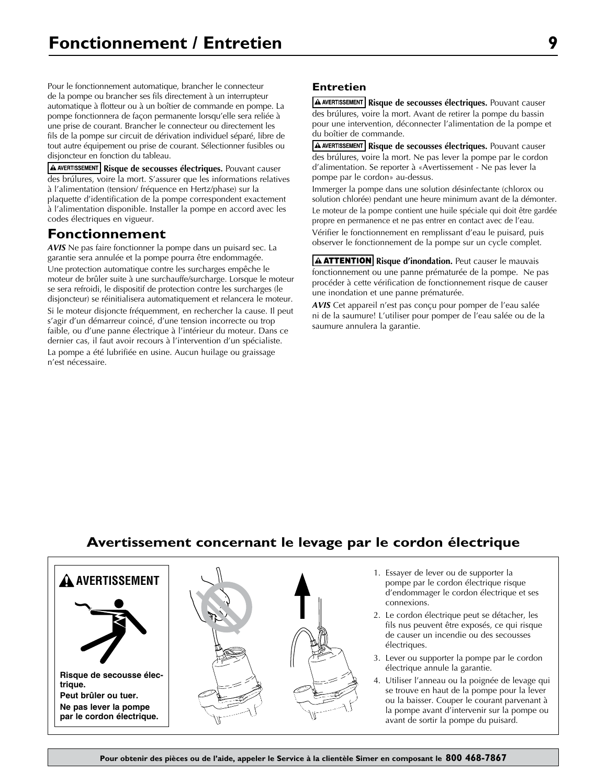Pour le fonctionnement automatique, brancher le connecteur de la pompe ou brancher ses fils directement à un interrupteur automatique à flotteur ou à un boîtier de commande en pompe. La pompe fonctionnera de façon permanente lorsqu'elle sera reliée à une prise de courant. Brancher le connecteur ou directement les fils de la pompe sur circuit de dérivation individuel séparé, libre de tout autre équipement ou prise de courant. Sélectionner fusibles ou disjoncteur en fonction du tableau.

**A AVERTISSEMENT** Risque de secousses électriques. Pouvant causer des brúlures, voire la mort. S'assurer que les informations relatives à l'alimentation (tension/ fréquence en Hertz/phase) sur la plaquette d'identification de la pompe correspondent exactement à l'alimentation disponible. Installer la pompe en accord avec les codes électriques en vigueur.

# **Fonctionnement**

*AVIS* Ne pas faire fonctionner la pompe dans un puisard sec. La garantie sera annulée et la pompe pourra être endommagée. Une protection automatique contre les surcharges empêche le moteur de brûler suite à une surchauffe/surcharge. Lorsque le moteur se sera refroidi, le dispositif de protection contre les surcharges (le disjoncteur) se réinitialisera automatiquement et relancera le moteur. Si le moteur disjoncte fréquemment, en rechercher la cause. Il peut s'agir d'un démarreur coincé, d'une tension incorrecte ou trop faible, ou d'une panne électrique à l'intérieur du moteur. Dans ce dernier cas, il faut avoir recours à l'intervention d'un spécialiste. La pompe a été lubrifiée en usine. Aucun huilage ou graissage n'est nécessaire.

## **Entretien**

**A AVERTISSEMENT** Risque de secousses électriques. Pouvant causer des brúlures, voire la mort. Avant de retirer la pompe du bassin pour une intervention, déconnecter l'alimentation de la pompe et du boîtier de commande.

**A AVERTISSEMENT** Risque de secousses électriques. Pouvant causer des brúlures, voire la mort. Ne pas lever la pompe par le cordon d'alimentation. Se reporter à «Avertissement - Ne pas lever la pompe par le cordon» au-dessus.

Immerger la pompe dans une solution désinfectante (chlorox ou solution chlorée) pendant une heure minimum avant de la démonter. Le moteur de la pompe contient une huile spéciale qui doit être gardée propre en permanence et ne pas entrer en contact avec de l'eau. Vérifier le fonctionnement en remplissant d'eau le puisard, puis observer le fonctionnement de la pompe sur un cycle complet.

**A ATTENTION** Risque d'inondation. Peut causer le mauvais fonctionnement ou une panne prématurée de la pompe. Ne pas procéder à cette vérification de fonctionnement risque de causer une inondation et une panne prématurée.

*AVIS* Cet appareil n'est pas conçu pour pomper de l'eau salée ni de la saumure! L'utiliser pour pomper de l'eau salée ou de la saumure annulera la garantie.

# **Avertissement concernant le levage par le cordon électrique**





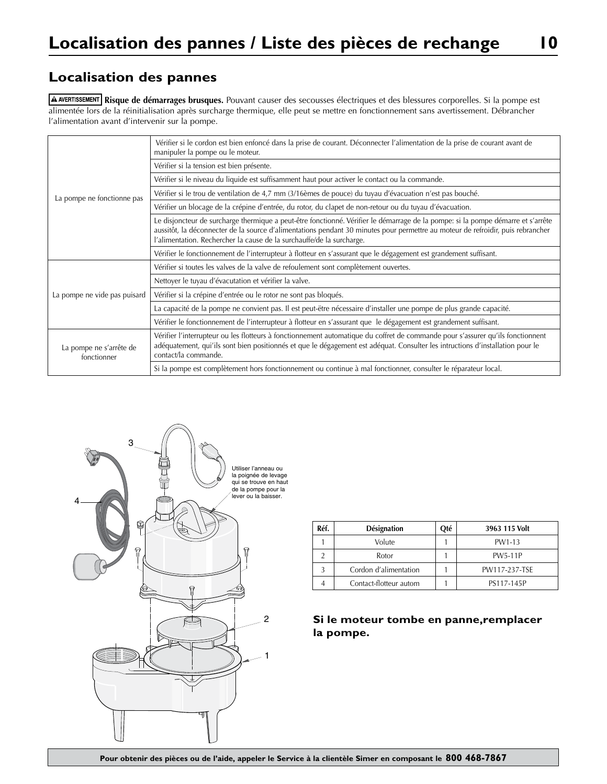# **Localisation des pannes**

**Risque de démarrages brusques.** Pouvant causer des secousses électriques et des blessures corporelles. Si la pompe est alimentée lors de la réinitialisation après surcharge thermique, elle peut se mettre en fonctionnement sans avertissement. Débrancher l'alimentation avant d'intervenir sur la pompe.

|                                        | Vérifier si le cordon est bien enfoncé dans la prise de courant. Déconnecter l'alimentation de la prise de courant avant de<br>manipuler la pompe ou le moteur.                                                                                                                                                                              |
|----------------------------------------|----------------------------------------------------------------------------------------------------------------------------------------------------------------------------------------------------------------------------------------------------------------------------------------------------------------------------------------------|
|                                        | Vérifier si la tension est bien présente.                                                                                                                                                                                                                                                                                                    |
|                                        | Vérifier si le niveau du liquide est suffisamment haut pour activer le contact ou la commande.                                                                                                                                                                                                                                               |
| La pompe ne fonctionne pas             | Vérifier si le trou de ventilation de 4,7 mm (3/16èmes de pouce) du tuyau d'évacuation n'est pas bouché.                                                                                                                                                                                                                                     |
|                                        | Vérifier un blocage de la crépine d'entrée, du rotor, du clapet de non-retour ou du tuyau d'évacuation.                                                                                                                                                                                                                                      |
|                                        | Le disjoncteur de surcharge thermique a peut-être fonctionné. Vérifier le démarrage de la pompe: si la pompe démarre et s'arrête<br>aussitôt, la déconnecter de la source d'alimentations pendant 30 minutes pour permettre au moteur de refroidir, puis rebrancher<br>l'alimentation. Rechercher la cause de la surchauffe/de la surcharge. |
|                                        | Vérifier le fonctionnement de l'interrupteur à flotteur en s'assurant que le dégagement est grandement suffisant.                                                                                                                                                                                                                            |
|                                        | Vérifier si toutes les valves de la valve de refoulement sont complètement ouvertes.                                                                                                                                                                                                                                                         |
|                                        | Nettoyer le tuyau d'évacutation et vérifier la valve.                                                                                                                                                                                                                                                                                        |
| La pompe ne vide pas puisard           | Vérifier si la crépine d'entrée ou le rotor ne sont pas bloqués.                                                                                                                                                                                                                                                                             |
|                                        | La capacité de la pompe ne convient pas. Il est peut-ëtre nécessaire d'installer une pompe de plus grande capacité.                                                                                                                                                                                                                          |
|                                        | Vérifier le fonctionnement de l'interrupteur à flotteur en s'assurant que le dégagement est grandement suffisant.                                                                                                                                                                                                                            |
| La pompe ne s'arrête de<br>fonctionner | Vérifier l'interrupteur ou les flotteurs à fonctionnement automatique du coffret de commande pour s'assurer qu'ils fonctionnent<br>adéquatement, qui'ils sont bien positionnés et que le dégagement est adéquat. Consulter les intructions d'installation pour le<br>contact/la commande.                                                    |
|                                        | Si la pompe est complètement hors fonctionnement ou continue à mal fonctionner, consulter le réparateur local.                                                                                                                                                                                                                               |



| Réf. | Désignation            | Oté | 3963 115 Volt  |
|------|------------------------|-----|----------------|
|      | Volute                 |     | PW1-13         |
|      | Rotor                  |     | <b>PW5-11P</b> |
|      | Cordon d'alimentation  |     | PW117-237-TSE  |
|      | Contact-flotteur autom |     | PS117-145P     |

**Si le moteur tombe en panne,remplacer la pompe.**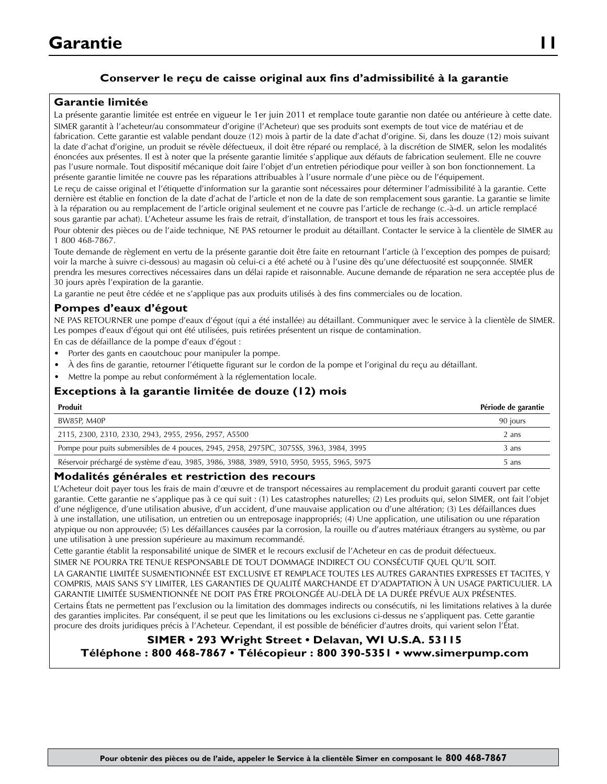# **Conserver le reçu de caisse original aux fins d'admissibilité à la garantie**

## **Garantie limitée**

La présente garantie limitée est entrée en vigueur le 1er juin 2011 et remplace toute garantie non datée ou antérieure à cette date. SIMER garantit à l'acheteur/au consommateur d'origine (l'Acheteur) que ses produits sont exempts de tout vice de matériau et de fabrication. Cette garantie est valable pendant douze (12) mois à partir de la date d'achat d'origine. Si, dans les douze (12) mois suivant la date d'achat d'origine, un produit se révèle défectueux, il doit être réparé ou remplacé, à la discrétion de SIMER, selon les modalités énoncées aux présentes. Il est à noter que la présente garantie limitée s'applique aux défauts de fabrication seulement. Elle ne couvre pas l'usure normale. Tout dispositif mécanique doit faire l'objet d'un entretien périodique pour veiller à son bon fonctionnement. La présente garantie limitée ne couvre pas les réparations attribuables à l'usure normale d'une pièce ou de l'équipement.

Le reçu de caisse original et l'étiquette d'information sur la garantie sont nécessaires pour déterminer l'admissibilité à la garantie. Cette dernière est établie en fonction de la date d'achat de l'article et non de la date de son remplacement sous garantie. La garantie se limite à la réparation ou au remplacement de l'article original seulement et ne couvre pas l'article de rechange (c.-à-d. un article remplacé sous garantie par achat). L'Acheteur assume les frais de retrait, d'installation, de transport et tous les frais accessoires.

Pour obtenir des pièces ou de l'aide technique, NE PAS retourner le produit au détaillant. Contacter le service à la clientèle de SIMER au 1 800 468-7867.

Toute demande de règlement en vertu de la présente garantie doit être faite en retournant l'article (à l'exception des pompes de puisard; voir la marche à suivre ci-dessous) au magasin où celui-ci a été acheté ou à l'usine dès qu'une défectuosité est soupçonnée. SIMER prendra les mesures correctives nécessaires dans un délai rapide et raisonnable. Aucune demande de réparation ne sera acceptée plus de 30 jours après l'expiration de la garantie.

La garantie ne peut être cédée et ne s'applique pas aux produits utilisés à des fins commerciales ou de location.

### **Pompes d'eaux d'égout**

NE PAS RETOURNER une pompe d'eaux d'égout (qui a été installée) au détaillant. Communiquer avec le service à la clientèle de SIMER. Les pompes d'eaux d'égout qui ont été utilisées, puis retirées présentent un risque de contamination.

En cas de défaillance de la pompe d'eaux d'égout :

- Porter des gants en caoutchouc pour manipuler la pompe.
- À des fins de garantie, retourner l'étiquette figurant sur le cordon de la pompe et l'original du reçu au détaillant.
- Mettre la pompe au rebut conformément à la réglementation locale.

## **Exceptions à la garantie limitée de douze (12) mois**

| Produit                                                                                    | Période de garantie |
|--------------------------------------------------------------------------------------------|---------------------|
| BW85P, M40P                                                                                | 90 jours            |
| 2115, 2300, 2310, 2330, 2943, 2955, 2956, 2957, A5500                                      | 2 ans               |
| Pompe pour puits submersibles de 4 pouces, 2945, 2958, 2975PC, 3075SS, 3963, 3984, 3995    | 3 ans               |
| Réservoir préchargé de système d'eau, 3985, 3986, 3988, 3989, 5910, 5950, 5955, 5965, 5975 | 5 ans               |

#### **Modalités générales et restriction des recours**

L'Acheteur doit payer tous les frais de main d'œuvre et de transport nécessaires au remplacement du produit garanti couvert par cette garantie. Cette garantie ne s'applique pas à ce qui suit : (1) Les catastrophes naturelles; (2) Les produits qui, selon SIMER, ont fait l'objet d'une négligence, d'une utilisation abusive, d'un accident, d'une mauvaise application ou d'une altération; (3) Les défaillances dues à une installation, une utilisation, un entretien ou un entreposage inappropriés; (4) Une application, une utilisation ou une réparation atypique ou non approuvée; (5) Les défaillances causées par la corrosion, la rouille ou d'autres matériaux étrangers au système, ou par une utilisation à une pression supérieure au maximum recommandé.

Cette garantie établit la responsabilité unique de SIMER et le recours exclusif de l'Acheteur en cas de produit défectueux.

SIMER NE POURRA TRE TENUE RESPONSABLE DE TOUT DOMMAGE INDIRECT OU CONSÉCUTIF QUEL QU'IL SOIT.

LA GARANTIE LIMITÉE SUSMENTIONNÉE EST EXCLUSIVE ET REMPLACE TOUTES LES AUTRES GARANTIES EXPRESSES ET TACITES, Y COMPRIS, MAIS SANS S'Y LIMITER, LES GARANTIES DE QUALITÉ MARCHANDE ET D'ADAPTATION À UN USAGE PARTICULIER. LA GARANTIE LIMITÉE SUSMENTIONNÉE NE DOIT PAS ÊTRE PROLONGÉE AU-DELÀ DE LA DURÉE PRÉVUE AUX PRÉSENTES.

Certains États ne permettent pas l'exclusion ou la limitation des dommages indirects ou consécutifs, ni les limitations relatives à la durée des garanties implicites. Par conséquent, il se peut que les limitations ou les exclusions ci-dessus ne s'appliquent pas. Cette garantie procure des droits juridiques précis à l'Acheteur. Cependant, il est possible de bénéficier d'autres droits, qui varient selon l'État.

## **SIMER • 293 Wright Street • Delavan, WI U.S.A. 53115 Téléphone : 800 468-7867 • Télécopieur : 800 390-5351 • www.simerpump.com**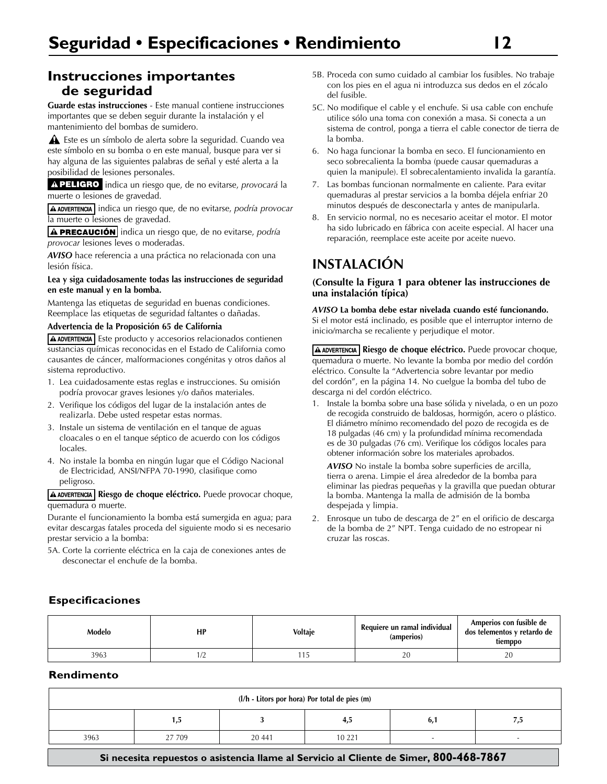# **Instrucciones importantes de seguridad**

**Guarde estas instrucciones** - Este manual contiene instrucciones importantes que se deben seguir durante la instalación y el mantenimiento del bombas de sumidero.

 Este es un símbolo de alerta sobre la seguridad. Cuando vea este símbolo en su bomba o en este manual, busque para ver si hay alguna de las siguientes palabras de señal y esté alerta a la posibilidad de lesiones personales.

A PELIGRO indica un riesgo que, de no evitarse, *provocará* la muerte o lesiones de gravedad.

**A ADVERTENCIA** indica un riesgo que, de no evitarse, *podría provocar* la muerte o lesiones de gravedad.

**A PRECAUCIÓN** indica un riesgo que, de no evitarse, *podría provocar* lesiones leves o moderadas.

*AVISO* hace referencia a una práctica no relacionada con una lesión física.

#### **Lea y siga cuidadosamente todas las instrucciones de seguridad en este manual y en la bomba.**

Mantenga las etiquetas de seguridad en buenas condiciones. Reemplace las etiquetas de seguridad faltantes o dañadas.

#### **Advertencia de la Proposición 65 de California**

A ADVERTENCIA Este producto y accesorios relacionados contienen sustancias químicas reconocidas en el Estado de California como causantes de cáncer, malformaciones congénitas y otros daños al sistema reproductivo.

- 1. Lea cuidadosamente estas reglas e instrucciones. Su omisión podría provocar graves lesiones y/o daños materiales.
- 2. Verifique los códigos del lugar de la instalación antes de realizarla. Debe usted respetar estas normas.
- 3. Instale un sistema de ventilación en el tanque de aguas cloacales o en el tanque séptico de acuerdo con los códigos locales.
- 4. No instale la bomba en ningún lugar que el Código Nacional de Electricidad, ANSI/NFPA 70-1990, clasifique como peligroso.

**Riesgo de choque eléctrico.** Puede provocar choque, quemadura o muerte.

Durante el funcionamiento la bomba está sumergida en agua; para evitar descargas fatales proceda del siguiente modo si es necesario prestar servicio a la bomba:

5A. Corte la corriente eléctrica en la caja de conexiones antes de desconectar el enchufe de la bomba.

- 5B. Proceda con sumo cuidado al cambiar los fusibles. No trabaje con los pies en el agua ni introduzca sus dedos en el zócalo del fusible.
- 5C. No modifique el cable y el enchufe. Si usa cable con enchufe utilice sólo una toma con conexión a masa. Si conecta a un sistema de control, ponga a tierra el cable conector de tierra de la bomba.
- 6. No haga funcionar la bomba en seco. El funcionamiento en seco sobrecalienta la bomba (puede causar quemaduras a quien la manipule). El sobrecalentamiento invalida la garantía.
- 7. Las bombas funcionan normalmente en caliente. Para evitar quemaduras al prestar servicios a la bomba déjela enfriar 20 minutos después de desconectarla y antes de manipularla.
- 8. En servicio normal, no es necesario aceitar el motor. El motor ha sido lubricado en fábrica con aceite especial. Al hacer una reparación, reemplace este aceite por aceite nuevo.

# **INSTALACIÓN**

#### **(Consulte la Figura 1 para obtener las instrucciones de una instalación típica)**

#### *AVISO* **La bomba debe estar nivelada cuando esté funcionando.**  Si el motor está inclinado, es posible que el interruptor interno de inicio/marcha se recaliente y perjudique el motor.

**Riesgo de choque eléctrico.** Puede provocar choque, quemadura o muerte. No levante la bomba por medio del cordón eléctrico. Consulte la "Advertencia sobre levantar por medio del cordón", en la página 14. No cuelgue la bomba del tubo de descarga ni del cordón eléctrico.

1. Instale la bomba sobre una base sólida y nivelada, o en un pozo de recogida construido de baldosas, hormigón, acero o plástico. El diámetro mínimo recomendado del pozo de recogida es de 18 pulgadas (46 cm) y la profundidad mínima recomendada es de 30 pulgadas (76 cm). Verifique los códigos locales para obtener información sobre los materiales aprobados.

*AVISO* No instale la bomba sobre superficies de arcilla, tierra o arena. Limpie el área alrededor de la bomba para eliminar las piedras pequeñas y la gravilla que puedan obturar la bomba. Mantenga la malla de admisión de la bomba despejada y limpia.

2. Enrosque un tubo de descarga de 2" en el orificio de descarga de la bomba de 2" NPT. Tenga cuidado de no estropear ni cruzar las roscas.

### **Especificaciones**

| Modelo | HP    | <b>Voltaje</b> | Requiere un ramal individual<br>(amperios) | Amperios con fusible de<br>dos telementos y retardo de<br>tiemppo |
|--------|-------|----------------|--------------------------------------------|-------------------------------------------------------------------|
| 3963   | . I 4 |                | 20                                         | 20                                                                |

## **Rendimento**

| $(l/h - Litors por hora)$ Por total de pies $(m)$                                      |        |        |          |     |     |
|----------------------------------------------------------------------------------------|--------|--------|----------|-----|-----|
|                                                                                        | 1,5    |        | 4,5      | 6,1 | 7,5 |
| 3963                                                                                   | 27 709 | 20 441 | 10 2 2 1 |     |     |
| Si necesita repuestos o asistencia llame al Servicio al Cliente de Simer, 800-468-7867 |        |        |          |     |     |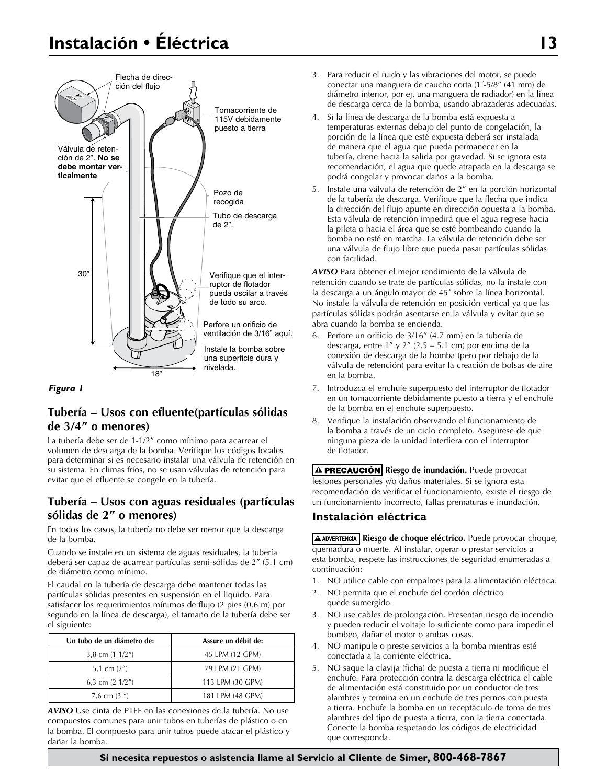# **Instalación • Éléctrica 13**





# **Tubería – Usos con efluente(partículas sólidas de 3/4" o menores)**

La tubería debe ser de 1-1/2" como mínimo para acarrear el volumen de descarga de la bomba. Verifique los códigos locales para determinar si es necesario instalar una válvula de retención en su sistema. En climas fríos, no se usan válvulas de retención para evitar que el efluente se congele en la tubería.

# **Tubería – Usos con aguas residuales (partículas sólidas de 2" o menores)**

En todos los casos, la tubería no debe ser menor que la descarga de la bomba.

Cuando se instale en un sistema de aguas residuales, la tubería deberá ser capaz de acarrear partículas semi-sólidas de 2" (5.1 cm) de diámetro como mínimo.

El caudal en la tubería de descarga debe mantener todas las partículas sólidas presentes en suspensión en el líquido. Para satisfacer los requerimientos mínimos de flujo (2 pies (0.6 m) por segundo en la línea de descarga), el tamaño de la tubería debe ser el siguiente:

| Un tubo de un diámetro de: | Assure un débit de: |
|----------------------------|---------------------|
| 3,8 cm $(1\ 1/2n)$         | 45 LPM (12 GPM)     |
| 5,1 cm $(2'')$             | 79 LPM (21 GPM)     |
| 6,3 cm $(2 \frac{1}{2})$   | 113 LPM (30 GPM)    |
| 7,6 cm $(3u)$              | 181 LPM (48 GPM)    |

*AVISO* Use cinta de PTFE en las conexiones de la tubería. No use compuestos comunes para unir tubos en tuberías de plástico o en la bomba. El compuesto para unir tubos puede atacar el plástico y dañar la bomba.

- 3. Para reducir el ruido y las vibraciones del motor, se puede conectar una manguera de caucho corta (1´-5/8" (41 mm) de diámetro interior, por ej. una manguera de radiador) en la línea de descarga cerca de la bomba, usando abrazaderas adecuadas.
- 4. Si la línea de descarga de la bomba está expuesta a temperaturas externas debajo del punto de congelación, la porción de la línea que esté expuesta deberá ser instalada de manera que el agua que pueda permanecer en la tubería, drene hacia la salida por gravedad. Si se ignora esta recomendación, el agua que quede atrapada en la descarga se podrá congelar y provocar daños a la bomba.
- 5. Instale una válvula de retención de 2" en la porción horizontal de la tubería de descarga. Verifique que la flecha que indica la dirección del flujo apunte en dirección opuesta a la bomba. Esta válvula de retención impedirá que el agua regrese hacia la pileta o hacia el área que se esté bombeando cuando la bomba no esté en marcha. La válvula de retención debe ser una válvula de flujo libre que pueda pasar partículas sólidas con facilidad.

*AVISO* Para obtener el mejor rendimiento de la válvula de retención cuando se trate de partículas sólidas, no la instale con la descarga a un ángulo mayor de 45˚ sobre la línea horizontal. No instale la válvula de retención en posición vertical ya que las partículas sólidas podrán asentarse en la válvula y evitar que se abra cuando la bomba se encienda.

- 6. Perfore un orificio de 3/16" (4.7 mm) en la tubería de descarga, entre  $1''$  y  $2''$  (2.5 – 5.1 cm) por encima de la conexión de descarga de la bomba (pero por debajo de la válvula de retención) para evitar la creación de bolsas de aire en la bomba.
- 7. Introduzca el enchufe superpuesto del interruptor de flotador en un tomacorriente debidamente puesto a tierra y el enchufe de la bomba en el enchufe superpuesto.
- 8. Verifique la instalación observando el funcionamiento de la bomba a través de un ciclo completo. Asegúrese de que ninguna pieza de la unidad interfiera con el interruptor de flotador.

**A PRECAUCIÓN** Riesgo de inundación. Puede provocar lesiones personales y/o daños materiales. Si se ignora esta recomendación de verificar el funcionamiento, existe el riesgo de un funcionamiento incorrecto, fallas prematuras e inundación.

## **Instalación eléctrica**

**Riesgo de choque eléctrico.** Puede provocar choque, quemadura o muerte. Al instalar, operar o prestar servicios a esta bomba, respete las instrucciones de seguridad enumeradas a continuación:

- 1. NO utilice cable con empalmes para la alimentación eléctrica.
- 2. NO permita que el enchufe del cordón eléctrico quede sumergido.
- 3. NO use cables de prolongación. Presentan riesgo de incendio y pueden reducir el voltaje lo suficiente como para impedir el bombeo, dañar el motor o ambas cosas.
- 4. NO manipule o preste servicios a la bomba mientras esté conectada a la corriente eléctrica.
- 5. NO saque la clavija (ficha) de puesta a tierra ni modifique el enchufe. Para protección contra la descarga eléctrica el cable de alimentación está constituido por un conductor de tres alambres y termina en un enchufe de tres pernos con puesta a tierra. Enchufe la bomba en un receptáculo de toma de tres alambres del tipo de puesta a tierra, con la tierra conectada. Conecte la bomba respetando los códigos de electricidad que corresponda.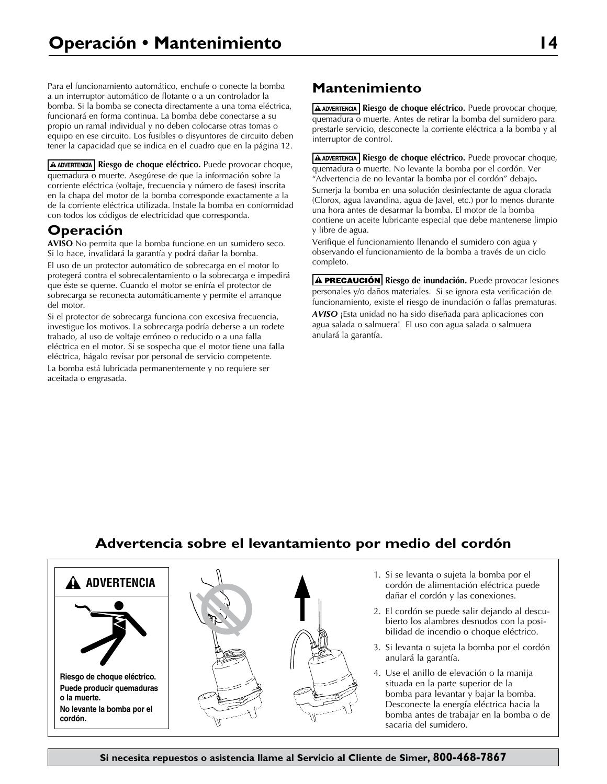Para el funcionamiento automático, enchufe o conecte la bomba a un interruptor automático de flotante o a un controlador la bomba. Si la bomba se conecta directamente a una toma eléctrica, funcionará en forma continua. La bomba debe conectarse a su propio un ramal individual y no deben colocarse otras tomas o equipo en ese circuito. Los fusibles o disyuntores de circuito deben tener la capacidad que se indica en el cuadro que en la página 12.

**Riesgo de choque eléctrico.** Puede provocar choque, quemadura o muerte. Asegúrese de que la información sobre la corriente eléctrica (voltaje, frecuencia y número de fases) inscrita en la chapa del motor de la bomba corresponde exactamente a la de la corriente eléctrica utilizada. Instale la bomba en conformidad con todos los códigos de electricidad que corresponda.

# **Operación**

**AVISO** No permita que la bomba funcione en un sumidero seco. Si lo hace, invalidará la garantía y podrá dañar la bomba. El uso de un protector automático de sobrecarga en el motor lo

protegerá contra el sobrecalentamiento o la sobrecarga e impedirá que éste se queme. Cuando el motor se enfría el protector de sobrecarga se reconecta automáticamente y permite el arranque del motor.

Si el protector de sobrecarga funciona con excesiva frecuencia, investigue los motivos. La sobrecarga podría deberse a un rodete trabado, al uso de voltaje erróneo o reducido o a una falla eléctrica en el motor. Si se sospecha que el motor tiene una falla eléctrica, hágalo revisar por personal de servicio competente.

La bomba está lubricada permanentemente y no requiere ser aceitada o engrasada.

# **Mantenimiento**

**Riesgo de choque eléctrico.** Puede provocar choque, quemadura o muerte. Antes de retirar la bomba del sumidero para prestarle servicio, desconecte la corriente eléctrica a la bomba y al interruptor de control.

**Riesgo de choque eléctrico.** Puede provocar choque, quemadura o muerte. No levante la bomba por el cordón. Ver "Advertencia de no levantar la bomba por el cordón" debajo**.**

Sumerja la bomba en una solución desinfectante de agua clorada (Clorox, agua lavandina, agua de Javel, etc.) por lo menos durante una hora antes de desarmar la bomba. El motor de la bomba contiene un aceite lubricante especial que debe mantenerse limpio y libre de agua.

Verifique el funcionamiento llenando el sumidero con agua y observando el funcionamiento de la bomba a través de un ciclo completo.

**A PRECAUCIÓN** Riesgo de inundación. Puede provocar lesiones personales y/o daños materiales.Si se ignora esta verificación de funcionamiento, existe el riesgo de inundación o fallas prematuras.

*AVISO* ¡Esta unidad no ha sido diseñada para aplicaciones con agua salada o salmuera! El uso con agua salada o salmuera anulará la garantía.

# **Advertencia sobre el levantamiento por medio del cordón**

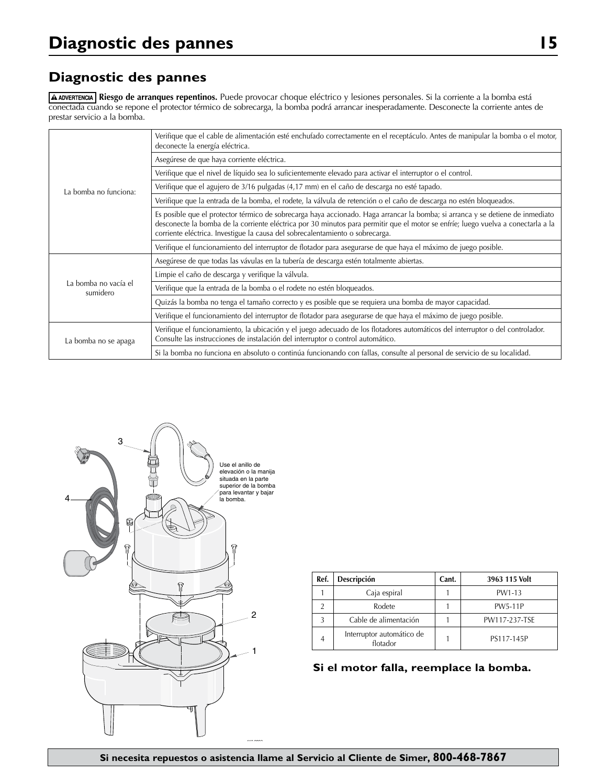# **Diagnostic des pannes**

**Riesgo de arranques repentinos.** Puede provocar choque eléctrico y lesiones personales. Si la corriente a la bomba está conectada cuando se repone el protector térmico de sobrecarga, la bomba podrá arrancar inesperadamente. Desconecte la corriente antes de prestar servicio a la bomba.

| La bomba no funciona:            | Verifique que el cable de alimentación esté enchufado correctamente en el receptáculo. Antes de manipular la bomba o el motor,<br>deconecte la energía eléctrica.                                                                                                                                                                                    |  |  |  |
|----------------------------------|------------------------------------------------------------------------------------------------------------------------------------------------------------------------------------------------------------------------------------------------------------------------------------------------------------------------------------------------------|--|--|--|
|                                  | Asegúrese de que haya corriente eléctrica.                                                                                                                                                                                                                                                                                                           |  |  |  |
|                                  | Verifique que el nivel de líquido sea lo suficientemente elevado para activar el interruptor o el control.                                                                                                                                                                                                                                           |  |  |  |
|                                  | Verifique que el agujero de 3/16 pulgadas (4,17 mm) en el caño de descarga no esté tapado.                                                                                                                                                                                                                                                           |  |  |  |
|                                  | Verifique que la entrada de la bomba, el rodete, la válvula de retención o el caño de descarga no estén bloqueados.                                                                                                                                                                                                                                  |  |  |  |
|                                  | Es posible que el protector térmico de sobrecarga haya accionado. Haga arrancar la bomba; si arranca y se detiene de inmediato<br>desconecte la bomba de la corriente eléctrica por 30 minutos para permitir que el motor se enfríe; luego vuelva a conectarla a la<br>corriente eléctrica. Investigue la causa del sobrecalentamiento o sobrecarga. |  |  |  |
|                                  | Verifique el funcionamiento del interruptor de flotador para asegurarse de que haya el máximo de juego posible.                                                                                                                                                                                                                                      |  |  |  |
|                                  | Asegúrese de que todas las vávulas en la tubería de descarga estén totalmente abiertas.                                                                                                                                                                                                                                                              |  |  |  |
| La bomba no vacía el<br>sumidero | Limpie el caño de descarga y verifique la válvula.                                                                                                                                                                                                                                                                                                   |  |  |  |
|                                  | Verifique que la entrada de la bomba o el rodete no estén bloqueados.                                                                                                                                                                                                                                                                                |  |  |  |
|                                  | Quizás la bomba no tenga el tamaño correcto y es posible que se requiera una bomba de mayor capacidad.                                                                                                                                                                                                                                               |  |  |  |
|                                  | Verifique el funcionamiento del interruptor de flotador para asegurarse de que haya el máximo de juego posible.                                                                                                                                                                                                                                      |  |  |  |
| La bomba no se apaga             | Verifique el funcionamiento, la ubicación y el juego adecuado de los flotadores automáticos del interruptor o del controlador.<br>Consulte las instrucciones de instalación del interruptor o control automático.                                                                                                                                    |  |  |  |
|                                  | Si la bomba no funciona en absoluto o continúa funcionando con fallas, consulte al personal de servicio de su localidad.                                                                                                                                                                                                                             |  |  |  |



| Ref. | Descripción                           | Cant. | 3963 115 Volt  |
|------|---------------------------------------|-------|----------------|
|      | Caja espiral                          |       | PW1-13         |
|      | Rodete                                |       | <b>PW5-11P</b> |
|      | Cable de alimentación                 |       | PW117-237-TSE  |
|      | Interruptor automático de<br>flotador |       | PS117-145P     |

**Si el motor falla, reemplace la bomba.**